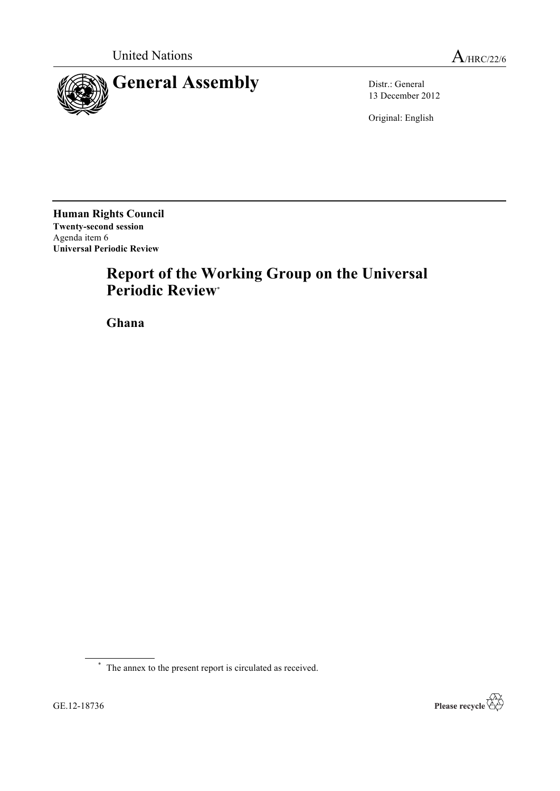

13 December 2012

Original: English

**Human Rights Council Twenty-second session** Agenda item 6 **Universal Periodic Review**

# **Report of the Working Group on the Universal Periodic Review**\*

**Ghana**



<sup>\*</sup> The annex to the present report is circulated as received.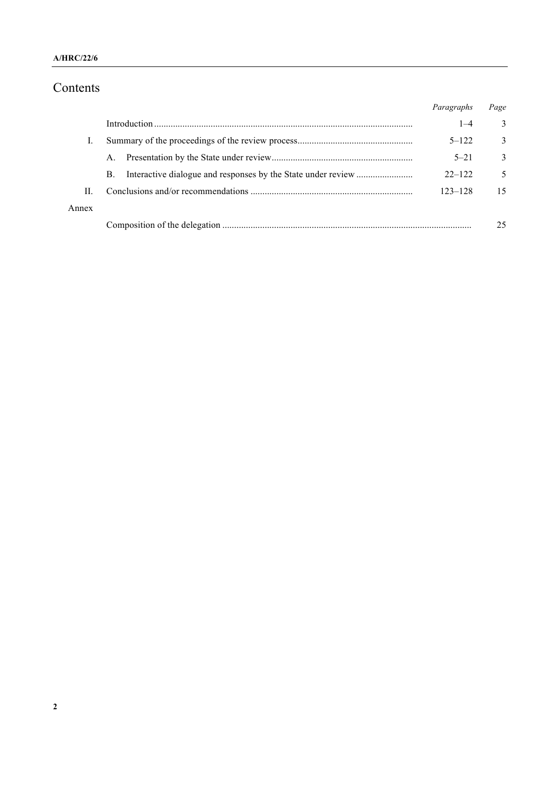# Contents

|       |    | Paragraphs | Page |
|-------|----|------------|------|
|       |    | $1 - 4$    | 3    |
|       |    | $5 - 122$  | 3    |
|       | A. | $5 - 21$   | 3    |
|       | B. | $22 - 122$ | 5    |
| П     |    | 123-128    | 15   |
| Annex |    |            |      |
|       |    |            | 25   |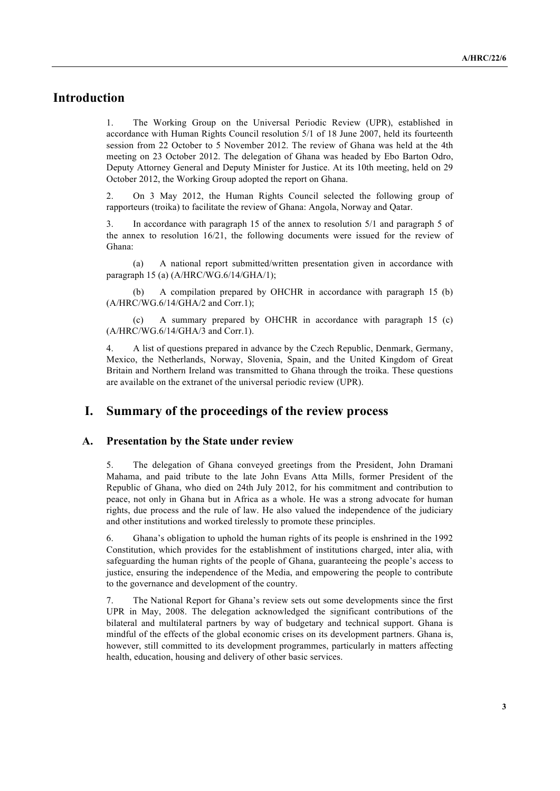# **Introduction**

1. The Working Group on the Universal Periodic Review (UPR), established in accordance with Human Rights Council resolution 5/1 of 18 June 2007, held its fourteenth session from 22 October to 5 November 2012. The review of Ghana was held at the 4th meeting on 23 October 2012. The delegation of Ghana was headed by Ebo Barton Odro, Deputy Attorney General and Deputy Minister for Justice. At its 10th meeting, held on 29 October 2012, the Working Group adopted the report on Ghana.

2. On 3 May 2012, the Human Rights Council selected the following group of rapporteurs (troika) to facilitate the review of Ghana: Angola, Norway and Qatar.

3. In accordance with paragraph 15 of the annex to resolution 5/1 and paragraph 5 of the annex to resolution 16/21, the following documents were issued for the review of Ghana:

(a) A national report submitted/written presentation given in accordance with paragraph 15 (a) (A/HRC/WG.6/14/GHA/1);

A compilation prepared by OHCHR in accordance with paragraph 15 (b) (A/HRC/WG.6/14/GHA/2 and Corr.1);

(c) A summary prepared by OHCHR in accordance with paragraph 15 (c) (A/HRC/WG.6/14/GHA/3 and Corr.1).

4. A list of questions prepared in advance by the Czech Republic, Denmark, Germany, Mexico, the Netherlands, Norway, Slovenia, Spain, and the United Kingdom of Great Britain and Northern Ireland was transmitted to Ghana through the troika. These questions are available on the extranet of the universal periodic review (UPR).

# **I. Summary of the proceedings of the review process**

#### **A. Presentation by the State under review**

5. The delegation of Ghana conveyed greetings from the President, John Dramani Mahama, and paid tribute to the late John Evans Atta Mills, former President of the Republic of Ghana, who died on 24th July 2012, for his commitment and contribution to peace, not only in Ghana but in Africa as a whole. He was a strong advocate for human rights, due process and the rule of law. He also valued the independence of the judiciary and other institutions and worked tirelessly to promote these principles.

6. Ghana's obligation to uphold the human rights of its people is enshrined in the 1992 Constitution, which provides for the establishment of institutions charged, inter alia, with safeguarding the human rights of the people of Ghana, guaranteeing the people's access to justice, ensuring the independence of the Media, and empowering the people to contribute to the governance and development of the country.

7. The National Report for Ghana's review sets out some developments since the first UPR in May, 2008. The delegation acknowledged the significant contributions of the bilateral and multilateral partners by way of budgetary and technical support. Ghana is mindful of the effects of the global economic crises on its development partners. Ghana is, however, still committed to its development programmes, particularly in matters affecting health, education, housing and delivery of other basic services.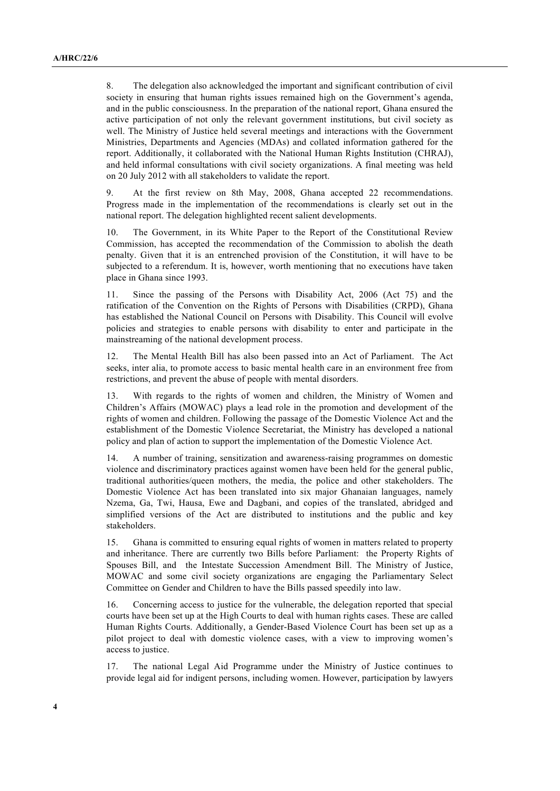8. The delegation also acknowledged the important and significant contribution of civil society in ensuring that human rights issues remained high on the Government's agenda, and in the public consciousness. In the preparation of the national report, Ghana ensured the active participation of not only the relevant government institutions, but civil society as well. The Ministry of Justice held several meetings and interactions with the Government Ministries, Departments and Agencies (MDAs) and collated information gathered for the report. Additionally, it collaborated with the National Human Rights Institution (CHRAJ), and held informal consultations with civil society organizations. A final meeting was held on 20 July 2012 with all stakeholders to validate the report.

9. At the first review on 8th May, 2008, Ghana accepted 22 recommendations. Progress made in the implementation of the recommendations is clearly set out in the national report. The delegation highlighted recent salient developments.

10. The Government, in its White Paper to the Report of the Constitutional Review Commission, has accepted the recommendation of the Commission to abolish the death penalty. Given that it is an entrenched provision of the Constitution, it will have to be subjected to a referendum. It is, however, worth mentioning that no executions have taken place in Ghana since 1993.

11. Since the passing of the Persons with Disability Act, 2006 (Act 75) and the ratification of the Convention on the Rights of Persons with Disabilities (CRPD), Ghana has established the National Council on Persons with Disability. This Council will evolve policies and strategies to enable persons with disability to enter and participate in the mainstreaming of the national development process.

12. The Mental Health Bill has also been passed into an Act of Parliament. The Act seeks, inter alia, to promote access to basic mental health care in an environment free from restrictions, and prevent the abuse of people with mental disorders.

13. With regards to the rights of women and children, the Ministry of Women and Children's Affairs (MOWAC) plays a lead role in the promotion and development of the rights of women and children. Following the passage of the Domestic Violence Act and the establishment of the Domestic Violence Secretariat, the Ministry has developed a national policy and plan of action to support the implementation of the Domestic Violence Act.

14. A number of training, sensitization and awareness-raising programmes on domestic violence and discriminatory practices against women have been held for the general public, traditional authorities/queen mothers, the media, the police and other stakeholders. The Domestic Violence Act has been translated into six major Ghanaian languages, namely Nzema, Ga, Twi, Hausa, Ewe and Dagbani, and copies of the translated, abridged and simplified versions of the Act are distributed to institutions and the public and key stakeholders.

15. Ghana is committed to ensuring equal rights of women in matters related to property and inheritance. There are currently two Bills before Parliament: the Property Rights of Spouses Bill, and the Intestate Succession Amendment Bill. The Ministry of Justice, MOWAC and some civil society organizations are engaging the Parliamentary Select Committee on Gender and Children to have the Bills passed speedily into law.

16. Concerning access to justice for the vulnerable, the delegation reported that special courts have been set up at the High Courts to deal with human rights cases. These are called Human Rights Courts. Additionally, a Gender-Based Violence Court has been set up as a pilot project to deal with domestic violence cases, with a view to improving women's access to justice.

17. The national Legal Aid Programme under the Ministry of Justice continues to provide legal aid for indigent persons, including women. However, participation by lawyers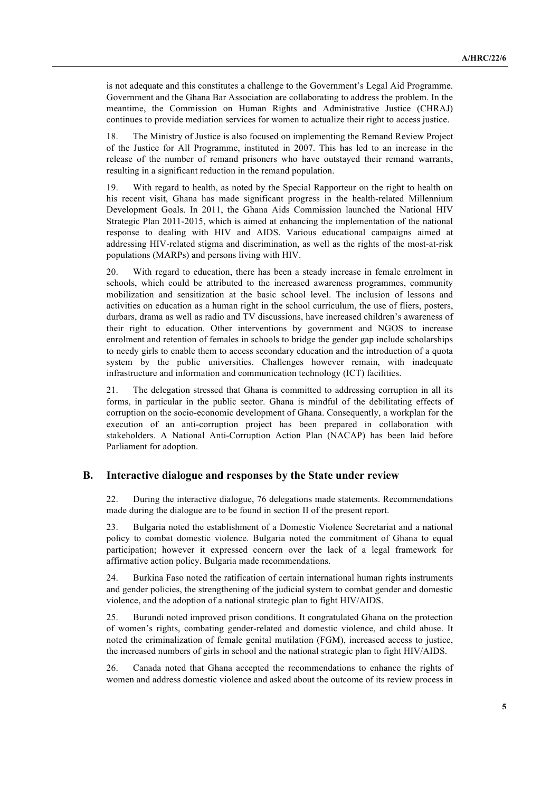is not adequate and this constitutes a challenge to the Government's Legal Aid Programme. Government and the Ghana Bar Association are collaborating to address the problem. In the meantime, the Commission on Human Rights and Administrative Justice (CHRAJ) continues to provide mediation services for women to actualize their right to access justice.

18. The Ministry of Justice is also focused on implementing the Remand Review Project of the Justice for All Programme, instituted in 2007. This has led to an increase in the release of the number of remand prisoners who have outstayed their remand warrants, resulting in a significant reduction in the remand population.

19. With regard to health, as noted by the Special Rapporteur on the right to health on his recent visit, Ghana has made significant progress in the health-related Millennium Development Goals. In 2011, the Ghana Aids Commission launched the National HIV Strategic Plan 2011-2015, which is aimed at enhancing the implementation of the national response to dealing with HIV and AIDS. Various educational campaigns aimed at addressing HIV-related stigma and discrimination, as well as the rights of the most-at-risk populations (MARPs) and persons living with HIV.

20. With regard to education, there has been a steady increase in female enrolment in schools, which could be attributed to the increased awareness programmes, community mobilization and sensitization at the basic school level. The inclusion of lessons and activities on education as a human right in the school curriculum, the use of fliers, posters, durbars, drama as well as radio and TV discussions, have increased children's awareness of their right to education. Other interventions by government and NGOS to increase enrolment and retention of females in schools to bridge the gender gap include scholarships to needy girls to enable them to access secondary education and the introduction of a quota system by the public universities. Challenges however remain, with inadequate infrastructure and information and communication technology (ICT) facilities.

21. The delegation stressed that Ghana is committed to addressing corruption in all its forms, in particular in the public sector. Ghana is mindful of the debilitating effects of corruption on the socio-economic development of Ghana. Consequently, a workplan for the execution of an anti-corruption project has been prepared in collaboration with stakeholders. A National Anti-Corruption Action Plan (NACAP) has been laid before Parliament for adoption.

#### **B. Interactive dialogue and responses by the State under review**

22. During the interactive dialogue, 76 delegations made statements. Recommendations made during the dialogue are to be found in section II of the present report.

23. Bulgaria noted the establishment of a Domestic Violence Secretariat and a national policy to combat domestic violence. Bulgaria noted the commitment of Ghana to equal participation; however it expressed concern over the lack of a legal framework for affirmative action policy. Bulgaria made recommendations.

24. Burkina Faso noted the ratification of certain international human rights instruments and gender policies, the strengthening of the judicial system to combat gender and domestic violence, and the adoption of a national strategic plan to fight HIV/AIDS.

25. Burundi noted improved prison conditions. It congratulated Ghana on the protection of women's rights, combating gender-related and domestic violence, and child abuse. It noted the criminalization of female genital mutilation (FGM), increased access to justice, the increased numbers of girls in school and the national strategic plan to fight HIV/AIDS.

26. Canada noted that Ghana accepted the recommendations to enhance the rights of women and address domestic violence and asked about the outcome of its review process in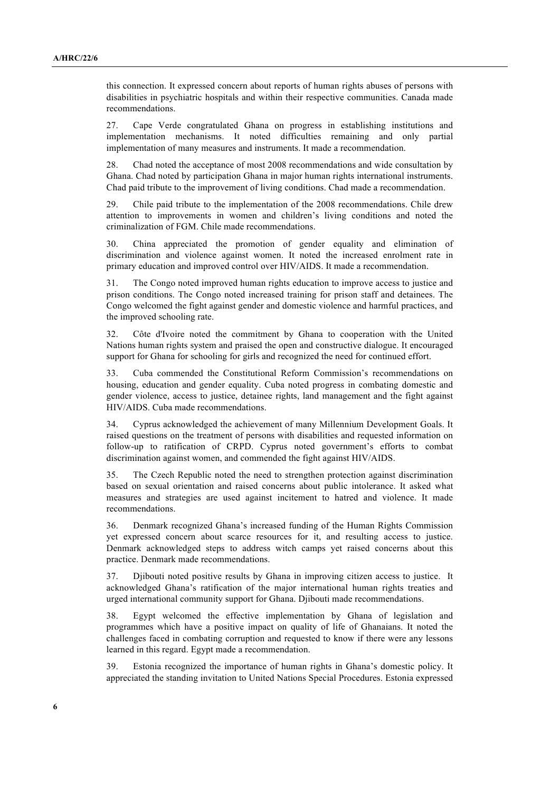this connection. It expressed concern about reports of human rights abuses of persons with disabilities in psychiatric hospitals and within their respective communities. Canada made recommendations.

27. Cape Verde congratulated Ghana on progress in establishing institutions and implementation mechanisms. It noted difficulties remaining and only partial implementation of many measures and instruments. It made a recommendation.

28. Chad noted the acceptance of most 2008 recommendations and wide consultation by Ghana. Chad noted by participation Ghana in major human rights international instruments. Chad paid tribute to the improvement of living conditions. Chad made a recommendation.

29. Chile paid tribute to the implementation of the 2008 recommendations. Chile drew attention to improvements in women and children's living conditions and noted the criminalization of FGM. Chile made recommendations.

30. China appreciated the promotion of gender equality and elimination of discrimination and violence against women. It noted the increased enrolment rate in primary education and improved control over HIV/AIDS. It made a recommendation.

31. The Congo noted improved human rights education to improve access to justice and prison conditions. The Congo noted increased training for prison staff and detainees. The Congo welcomed the fight against gender and domestic violence and harmful practices, and the improved schooling rate.

32. Côte d'Ivoire noted the commitment by Ghana to cooperation with the United Nations human rights system and praised the open and constructive dialogue. It encouraged support for Ghana for schooling for girls and recognized the need for continued effort.

33. Cuba commended the Constitutional Reform Commission's recommendations on housing, education and gender equality. Cuba noted progress in combating domestic and gender violence, access to justice, detainee rights, land management and the fight against HIV/AIDS. Cuba made recommendations.

34. Cyprus acknowledged the achievement of many Millennium Development Goals. It raised questions on the treatment of persons with disabilities and requested information on follow-up to ratification of CRPD. Cyprus noted government's efforts to combat discrimination against women, and commended the fight against HIV/AIDS.

35. The Czech Republic noted the need to strengthen protection against discrimination based on sexual orientation and raised concerns about public intolerance. It asked what measures and strategies are used against incitement to hatred and violence. It made recommendations.

36. Denmark recognized Ghana's increased funding of the Human Rights Commission yet expressed concern about scarce resources for it, and resulting access to justice. Denmark acknowledged steps to address witch camps yet raised concerns about this practice. Denmark made recommendations.

37. Djibouti noted positive results by Ghana in improving citizen access to justice. It acknowledged Ghana's ratification of the major international human rights treaties and urged international community support for Ghana. Djibouti made recommendations.

38. Egypt welcomed the effective implementation by Ghana of legislation and programmes which have a positive impact on quality of life of Ghanaians. It noted the challenges faced in combating corruption and requested to know if there were any lessons learned in this regard. Egypt made a recommendation.

39. Estonia recognized the importance of human rights in Ghana's domestic policy. It appreciated the standing invitation to United Nations Special Procedures. Estonia expressed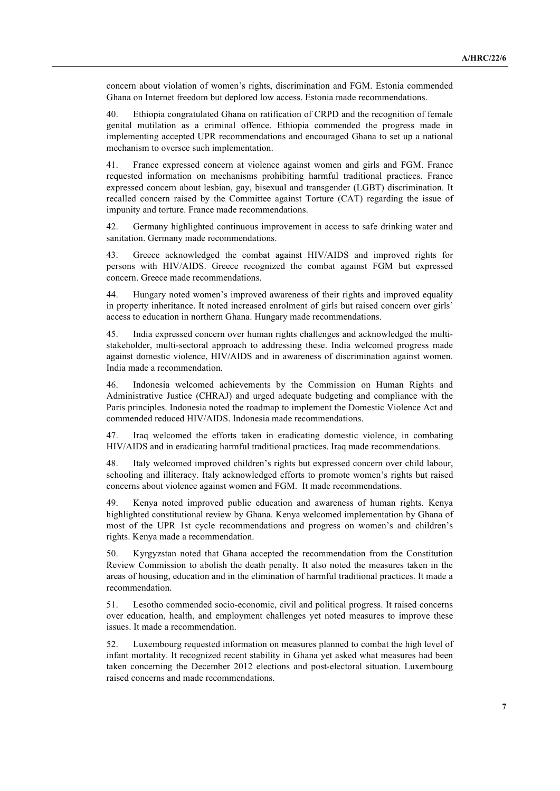concern about violation of women's rights, discrimination and FGM. Estonia commended Ghana on Internet freedom but deplored low access. Estonia made recommendations.

40. Ethiopia congratulated Ghana on ratification of CRPD and the recognition of female genital mutilation as a criminal offence. Ethiopia commended the progress made in implementing accepted UPR recommendations and encouraged Ghana to set up a national mechanism to oversee such implementation.

41. France expressed concern at violence against women and girls and FGM. France requested information on mechanisms prohibiting harmful traditional practices. France expressed concern about lesbian, gay, bisexual and transgender (LGBT) discrimination. It recalled concern raised by the Committee against Torture (CAT) regarding the issue of impunity and torture. France made recommendations.

42. Germany highlighted continuous improvement in access to safe drinking water and sanitation. Germany made recommendations.

43. Greece acknowledged the combat against HIV/AIDS and improved rights for persons with HIV/AIDS. Greece recognized the combat against FGM but expressed concern. Greece made recommendations.

44. Hungary noted women's improved awareness of their rights and improved equality in property inheritance. It noted increased enrolment of girls but raised concern over girls' access to education in northern Ghana. Hungary made recommendations.

45. India expressed concern over human rights challenges and acknowledged the multistakeholder, multi-sectoral approach to addressing these. India welcomed progress made against domestic violence, HIV/AIDS and in awareness of discrimination against women. India made a recommendation.

46. Indonesia welcomed achievements by the Commission on Human Rights and Administrative Justice (CHRAJ) and urged adequate budgeting and compliance with the Paris principles. Indonesia noted the roadmap to implement the Domestic Violence Act and commended reduced HIV/AIDS. Indonesia made recommendations.

47. Iraq welcomed the efforts taken in eradicating domestic violence, in combating HIV/AIDS and in eradicating harmful traditional practices. Iraq made recommendations.

48. Italy welcomed improved children's rights but expressed concern over child labour, schooling and illiteracy. Italy acknowledged efforts to promote women's rights but raised concerns about violence against women and FGM. It made recommendations.

49. Kenya noted improved public education and awareness of human rights. Kenya highlighted constitutional review by Ghana. Kenya welcomed implementation by Ghana of most of the UPR 1st cycle recommendations and progress on women's and children's rights. Kenya made a recommendation.

50. Kyrgyzstan noted that Ghana accepted the recommendation from the Constitution Review Commission to abolish the death penalty. It also noted the measures taken in the areas of housing, education and in the elimination of harmful traditional practices. It made a recommendation.

51. Lesotho commended socio-economic, civil and political progress. It raised concerns over education, health, and employment challenges yet noted measures to improve these issues. It made a recommendation.

52. Luxembourg requested information on measures planned to combat the high level of infant mortality. It recognized recent stability in Ghana yet asked what measures had been taken concerning the December 2012 elections and post-electoral situation. Luxembourg raised concerns and made recommendations.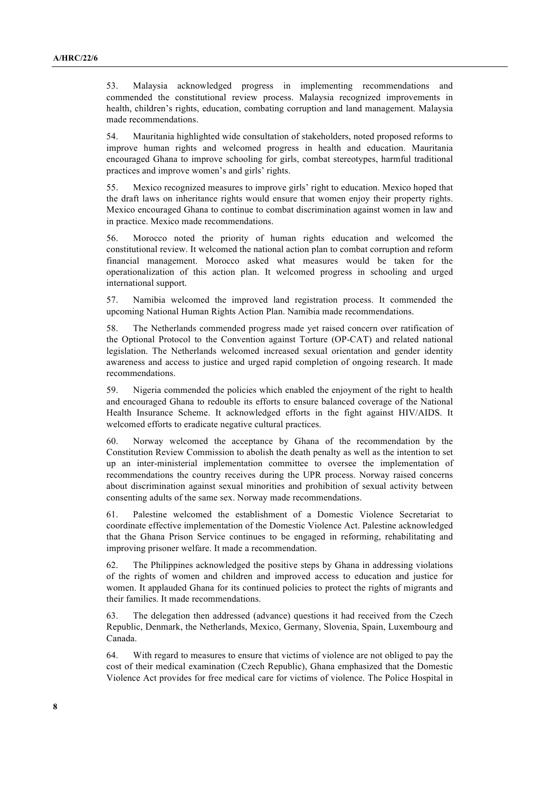53. Malaysia acknowledged progress in implementing recommendations and commended the constitutional review process. Malaysia recognized improvements in health, children's rights, education, combating corruption and land management. Malaysia made recommendations.

54. Mauritania highlighted wide consultation of stakeholders, noted proposed reforms to improve human rights and welcomed progress in health and education. Mauritania encouraged Ghana to improve schooling for girls, combat stereotypes, harmful traditional practices and improve women's and girls' rights.

55. Mexico recognized measures to improve girls' right to education. Mexico hoped that the draft laws on inheritance rights would ensure that women enjoy their property rights. Mexico encouraged Ghana to continue to combat discrimination against women in law and in practice. Mexico made recommendations.

56. Morocco noted the priority of human rights education and welcomed the constitutional review. It welcomed the national action plan to combat corruption and reform financial management. Morocco asked what measures would be taken for the operationalization of this action plan. It welcomed progress in schooling and urged international support.

57. Namibia welcomed the improved land registration process. It commended the upcoming National Human Rights Action Plan. Namibia made recommendations.

58. The Netherlands commended progress made yet raised concern over ratification of the Optional Protocol to the Convention against Torture (OP-CAT) and related national legislation. The Netherlands welcomed increased sexual orientation and gender identity awareness and access to justice and urged rapid completion of ongoing research. It made recommendations.

59. Nigeria commended the policies which enabled the enjoyment of the right to health and encouraged Ghana to redouble its efforts to ensure balanced coverage of the National Health Insurance Scheme. It acknowledged efforts in the fight against HIV/AIDS. It welcomed efforts to eradicate negative cultural practices.

60. Norway welcomed the acceptance by Ghana of the recommendation by the Constitution Review Commission to abolish the death penalty as well as the intention to set up an inter-ministerial implementation committee to oversee the implementation of recommendations the country receives during the UPR process. Norway raised concerns about discrimination against sexual minorities and prohibition of sexual activity between consenting adults of the same sex. Norway made recommendations.

61. Palestine welcomed the establishment of a Domestic Violence Secretariat to coordinate effective implementation of the Domestic Violence Act. Palestine acknowledged that the Ghana Prison Service continues to be engaged in reforming, rehabilitating and improving prisoner welfare. It made a recommendation.

62. The Philippines acknowledged the positive steps by Ghana in addressing violations of the rights of women and children and improved access to education and justice for women. It applauded Ghana for its continued policies to protect the rights of migrants and their families. It made recommendations.

63. The delegation then addressed (advance) questions it had received from the Czech Republic, Denmark, the Netherlands, Mexico, Germany, Slovenia, Spain, Luxembourg and Canada.

64. With regard to measures to ensure that victims of violence are not obliged to pay the cost of their medical examination (Czech Republic), Ghana emphasized that the Domestic Violence Act provides for free medical care for victims of violence. The Police Hospital in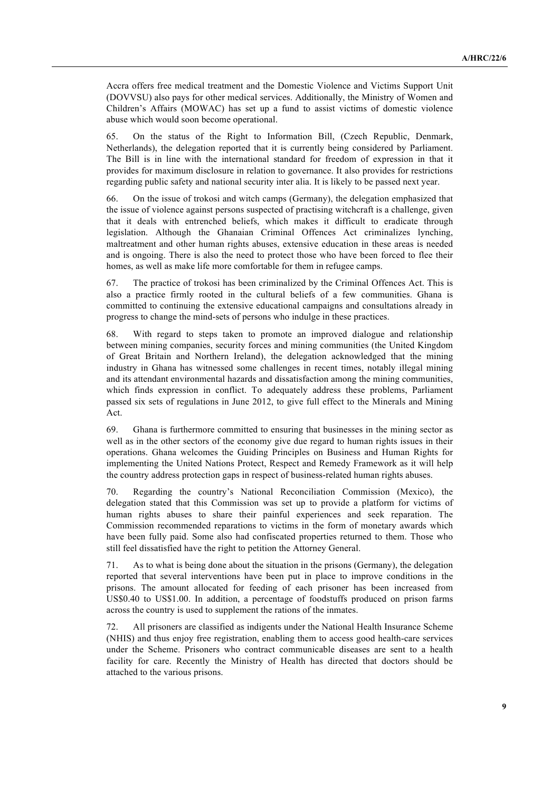Accra offers free medical treatment and the Domestic Violence and Victims Support Unit (DOVVSU) also pays for other medical services. Additionally, the Ministry of Women and Children's Affairs (MOWAC) has set up a fund to assist victims of domestic violence abuse which would soon become operational.

65. On the status of the Right to Information Bill, (Czech Republic, Denmark, Netherlands), the delegation reported that it is currently being considered by Parliament. The Bill is in line with the international standard for freedom of expression in that it provides for maximum disclosure in relation to governance. It also provides for restrictions regarding public safety and national security inter alia. It is likely to be passed next year.

66. On the issue of trokosi and witch camps (Germany), the delegation emphasized that the issue of violence against persons suspected of practising witchcraft is a challenge, given that it deals with entrenched beliefs, which makes it difficult to eradicate through legislation. Although the Ghanaian Criminal Offences Act criminalizes lynching, maltreatment and other human rights abuses, extensive education in these areas is needed and is ongoing. There is also the need to protect those who have been forced to flee their homes, as well as make life more comfortable for them in refugee camps.

67. The practice of trokosi has been criminalized by the Criminal Offences Act. This is also a practice firmly rooted in the cultural beliefs of a few communities. Ghana is committed to continuing the extensive educational campaigns and consultations already in progress to change the mind-sets of persons who indulge in these practices.

68. With regard to steps taken to promote an improved dialogue and relationship between mining companies, security forces and mining communities (the United Kingdom of Great Britain and Northern Ireland), the delegation acknowledged that the mining industry in Ghana has witnessed some challenges in recent times, notably illegal mining and its attendant environmental hazards and dissatisfaction among the mining communities, which finds expression in conflict. To adequately address these problems, Parliament passed six sets of regulations in June 2012, to give full effect to the Minerals and Mining Act.

69. Ghana is furthermore committed to ensuring that businesses in the mining sector as well as in the other sectors of the economy give due regard to human rights issues in their operations. Ghana welcomes the Guiding Principles on Business and Human Rights for implementing the United Nations Protect, Respect and Remedy Framework as it will help the country address protection gaps in respect of business-related human rights abuses.

70. Regarding the country's National Reconciliation Commission (Mexico), the delegation stated that this Commission was set up to provide a platform for victims of human rights abuses to share their painful experiences and seek reparation. The Commission recommended reparations to victims in the form of monetary awards which have been fully paid. Some also had confiscated properties returned to them. Those who still feel dissatisfied have the right to petition the Attorney General.

71. As to what is being done about the situation in the prisons (Germany), the delegation reported that several interventions have been put in place to improve conditions in the prisons. The amount allocated for feeding of each prisoner has been increased from US\$0.40 to US\$1.00. In addition, a percentage of foodstuffs produced on prison farms across the country is used to supplement the rations of the inmates.

72. All prisoners are classified as indigents under the National Health Insurance Scheme (NHIS) and thus enjoy free registration, enabling them to access good health-care services under the Scheme. Prisoners who contract communicable diseases are sent to a health facility for care. Recently the Ministry of Health has directed that doctors should be attached to the various prisons.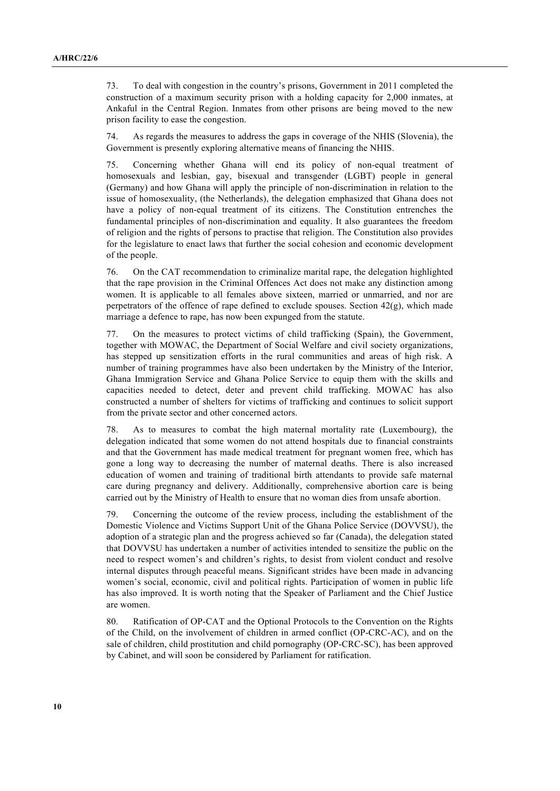73. To deal with congestion in the country's prisons, Government in 2011 completed the construction of a maximum security prison with a holding capacity for 2,000 inmates, at Ankaful in the Central Region. Inmates from other prisons are being moved to the new prison facility to ease the congestion.

74. As regards the measures to address the gaps in coverage of the NHIS (Slovenia), the Government is presently exploring alternative means of financing the NHIS.

75. Concerning whether Ghana will end its policy of non-equal treatment of homosexuals and lesbian, gay, bisexual and transgender (LGBT) people in general (Germany) and how Ghana will apply the principle of non-discrimination in relation to the issue of homosexuality, (the Netherlands), the delegation emphasized that Ghana does not have a policy of non-equal treatment of its citizens. The Constitution entrenches the fundamental principles of non-discrimination and equality. It also guarantees the freedom of religion and the rights of persons to practise that religion. The Constitution also provides for the legislature to enact laws that further the social cohesion and economic development of the people.

76. On the CAT recommendation to criminalize marital rape, the delegation highlighted that the rape provision in the Criminal Offences Act does not make any distinction among women. It is applicable to all females above sixteen, married or unmarried, and nor are perpetrators of the offence of rape defined to exclude spouses. Section  $42(\gamma)$ , which made marriage a defence to rape, has now been expunged from the statute.

77. On the measures to protect victims of child trafficking (Spain), the Government, together with MOWAC, the Department of Social Welfare and civil society organizations, has stepped up sensitization efforts in the rural communities and areas of high risk. A number of training programmes have also been undertaken by the Ministry of the Interior, Ghana Immigration Service and Ghana Police Service to equip them with the skills and capacities needed to detect, deter and prevent child trafficking. MOWAC has also constructed a number of shelters for victims of trafficking and continues to solicit support from the private sector and other concerned actors.

78. As to measures to combat the high maternal mortality rate (Luxembourg), the delegation indicated that some women do not attend hospitals due to financial constraints and that the Government has made medical treatment for pregnant women free, which has gone a long way to decreasing the number of maternal deaths. There is also increased education of women and training of traditional birth attendants to provide safe maternal care during pregnancy and delivery. Additionally, comprehensive abortion care is being carried out by the Ministry of Health to ensure that no woman dies from unsafe abortion.

79. Concerning the outcome of the review process, including the establishment of the Domestic Violence and Victims Support Unit of the Ghana Police Service (DOVVSU), the adoption of a strategic plan and the progress achieved so far (Canada), the delegation stated that DOVVSU has undertaken a number of activities intended to sensitize the public on the need to respect women's and children's rights, to desist from violent conduct and resolve internal disputes through peaceful means. Significant strides have been made in advancing women's social, economic, civil and political rights. Participation of women in public life has also improved. It is worth noting that the Speaker of Parliament and the Chief Justice are women.

80. Ratification of OP-CAT and the Optional Protocols to the Convention on the Rights of the Child, on the involvement of children in armed conflict (OP-CRC-AC), and on the sale of children, child prostitution and child pornography (OP-CRC-SC), has been approved by Cabinet, and will soon be considered by Parliament for ratification.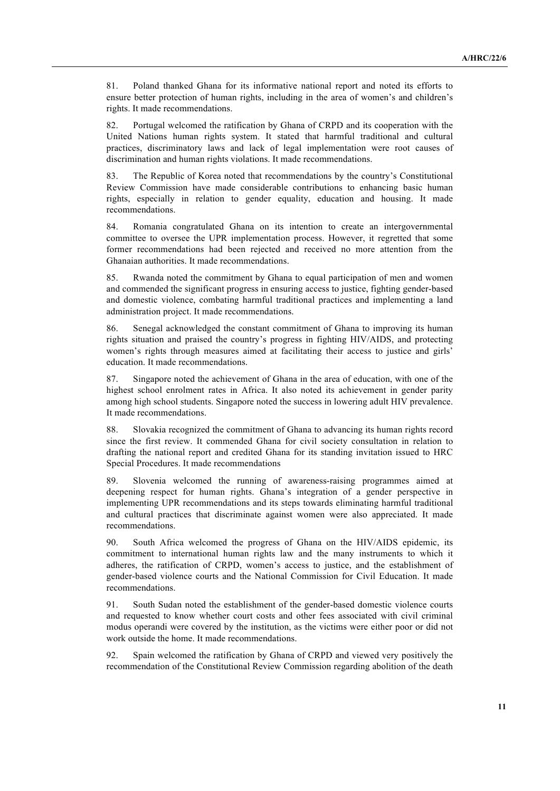81. Poland thanked Ghana for its informative national report and noted its efforts to ensure better protection of human rights, including in the area of women's and children's rights. It made recommendations.

82. Portugal welcomed the ratification by Ghana of CRPD and its cooperation with the United Nations human rights system. It stated that harmful traditional and cultural practices, discriminatory laws and lack of legal implementation were root causes of discrimination and human rights violations. It made recommendations.

83. The Republic of Korea noted that recommendations by the country's Constitutional Review Commission have made considerable contributions to enhancing basic human rights, especially in relation to gender equality, education and housing. It made recommendations.

84. Romania congratulated Ghana on its intention to create an intergovernmental committee to oversee the UPR implementation process. However, it regretted that some former recommendations had been rejected and received no more attention from the Ghanaian authorities. It made recommendations.

85. Rwanda noted the commitment by Ghana to equal participation of men and women and commended the significant progress in ensuring access to justice, fighting gender-based and domestic violence, combating harmful traditional practices and implementing a land administration project. It made recommendations.

86. Senegal acknowledged the constant commitment of Ghana to improving its human rights situation and praised the country's progress in fighting HIV/AIDS, and protecting women's rights through measures aimed at facilitating their access to justice and girls' education. It made recommendations.

87. Singapore noted the achievement of Ghana in the area of education, with one of the highest school enrolment rates in Africa. It also noted its achievement in gender parity among high school students. Singapore noted the success in lowering adult HIV prevalence. It made recommendations.

88. Slovakia recognized the commitment of Ghana to advancing its human rights record since the first review. It commended Ghana for civil society consultation in relation to drafting the national report and credited Ghana for its standing invitation issued to HRC Special Procedures. It made recommendations

89. Slovenia welcomed the running of awareness-raising programmes aimed at deepening respect for human rights. Ghana's integration of a gender perspective in implementing UPR recommendations and its steps towards eliminating harmful traditional and cultural practices that discriminate against women were also appreciated. It made recommendations.

90. South Africa welcomed the progress of Ghana on the HIV/AIDS epidemic, its commitment to international human rights law and the many instruments to which it adheres, the ratification of CRPD, women's access to justice, and the establishment of gender-based violence courts and the National Commission for Civil Education. It made recommendations.

91. South Sudan noted the establishment of the gender-based domestic violence courts and requested to know whether court costs and other fees associated with civil criminal modus operandi were covered by the institution, as the victims were either poor or did not work outside the home. It made recommendations.

92. Spain welcomed the ratification by Ghana of CRPD and viewed very positively the recommendation of the Constitutional Review Commission regarding abolition of the death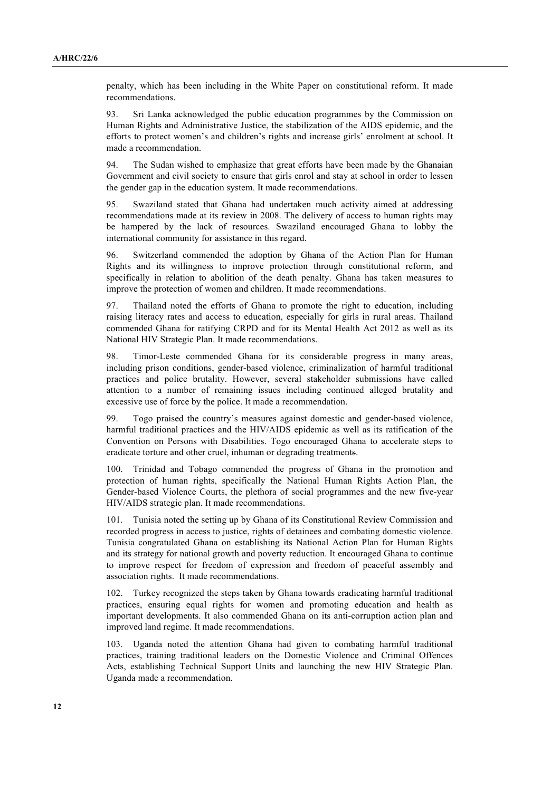penalty, which has been including in the White Paper on constitutional reform. It made recommendations.

93. Sri Lanka acknowledged the public education programmes by the Commission on Human Rights and Administrative Justice, the stabilization of the AIDS epidemic, and the efforts to protect women's and children's rights and increase girls' enrolment at school. It made a recommendation.

94. The Sudan wished to emphasize that great efforts have been made by the Ghanaian Government and civil society to ensure that girls enrol and stay at school in order to lessen the gender gap in the education system. It made recommendations.

95. Swaziland stated that Ghana had undertaken much activity aimed at addressing recommendations made at its review in 2008. The delivery of access to human rights may be hampered by the lack of resources. Swaziland encouraged Ghana to lobby the international community for assistance in this regard.

96. Switzerland commended the adoption by Ghana of the Action Plan for Human Rights and its willingness to improve protection through constitutional reform, and specifically in relation to abolition of the death penalty. Ghana has taken measures to improve the protection of women and children. It made recommendations.

97. Thailand noted the efforts of Ghana to promote the right to education, including raising literacy rates and access to education, especially for girls in rural areas. Thailand commended Ghana for ratifying CRPD and for its Mental Health Act 2012 as well as its National HIV Strategic Plan. It made recommendations.

98. Timor-Leste commended Ghana for its considerable progress in many areas, including prison conditions, gender-based violence, criminalization of harmful traditional practices and police brutality. However, several stakeholder submissions have called attention to a number of remaining issues including continued alleged brutality and excessive use of force by the police. It made a recommendation.

99. Togo praised the country's measures against domestic and gender-based violence, harmful traditional practices and the HIV/AIDS epidemic as well as its ratification of the Convention on Persons with Disabilities. Togo encouraged Ghana to accelerate steps to eradicate torture and other cruel, inhuman or degrading treatments.

100. Trinidad and Tobago commended the progress of Ghana in the promotion and protection of human rights, specifically the National Human Rights Action Plan, the Gender-based Violence Courts, the plethora of social programmes and the new five-year HIV/AIDS strategic plan. It made recommendations.

101. Tunisia noted the setting up by Ghana of its Constitutional Review Commission and recorded progress in access to justice, rights of detainees and combating domestic violence. Tunisia congratulated Ghana on establishing its National Action Plan for Human Rights and its strategy for national growth and poverty reduction. It encouraged Ghana to continue to improve respect for freedom of expression and freedom of peaceful assembly and association rights. It made recommendations.

102. Turkey recognized the steps taken by Ghana towards eradicating harmful traditional practices, ensuring equal rights for women and promoting education and health as important developments. It also commended Ghana on its anti-corruption action plan and improved land regime. It made recommendations.

103. Uganda noted the attention Ghana had given to combating harmful traditional practices, training traditional leaders on the Domestic Violence and Criminal Offences Acts, establishing Technical Support Units and launching the new HIV Strategic Plan. Uganda made a recommendation.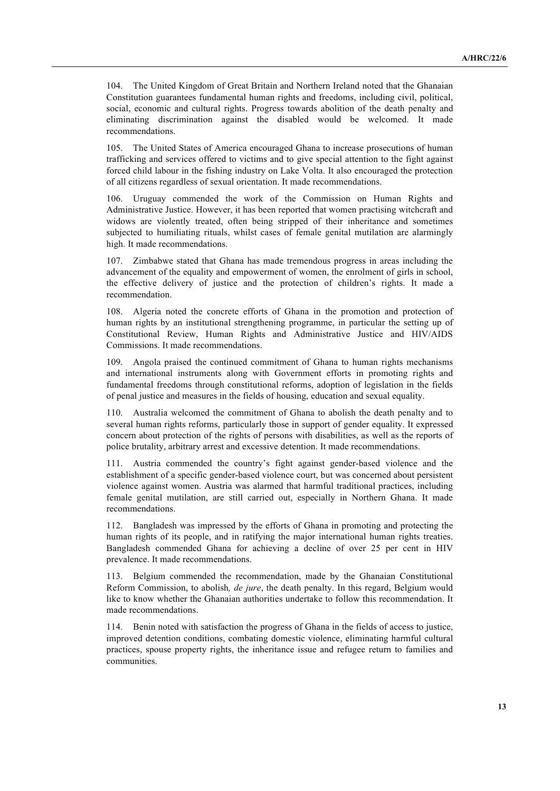104. The United Kingdom of Great Britain and Northern Ireland noted that the Ghanaian Constitution guarantees fundamental human rights and freedoms, including civil, political, social, economic and cultural rights. Progress towards abolition of the death penalty and eliminating discrimination against the disabled would be welcomed. It made recommendations.

105. The United States of America encouraged Ghana to increase prosecutions of human trafficking and services offered to victims and to give special attention to the fight against forced child labour in the fishing industry on Lake Volta. It also encouraged the protection of all citizens regardless of sexual orientation. It made recommendations.

106. Uruguay commended the work of the Commission on Human Rights and Administrative Justice. However, it has been reported that women practising witchcraft and widows are violently treated, often being stripped of their inheritance and sometimes subjected to humiliating rituals, whilst cases of female genital mutilation are alarmingly high. It made recommendations.

107. Zimbabwe stated that Ghana has made tremendous progress in areas including the advancement of the equality and empowerment of women, the enrolment of girls in school, the effective delivery of justice and the protection of children's rights. It made a recommendation.

108. Algeria noted the concrete efforts of Ghana in the promotion and protection of human rights by an institutional strengthening programme, in particular the setting up of Constitutional Review, Human Rights and Administrative Justice and HIV/AIDS Commissions. It made recommendations.

109. Angola praised the continued commitment of Ghana to human rights mechanisms and international instruments along with Government efforts in promoting rights and fundamental freedoms through constitutional reforms, adoption of legislation in the fields of penal justice and measures in the fields of housing, education and sexual equality.

110. Australia welcomed the commitment of Ghana to abolish the death penalty and to several human rights reforms, particularly those in support of gender equality. It expressed concern about protection of the rights of persons with disabilities, as well as the reports of police brutality, arbitrary arrest and excessive detention. It made recommendations.

Austria commended the country's fight against gender-based violence and the establishment of a specific gender-based violence court, but was concerned about persistent violence against women. Austria was alarmed that harmful traditional practices, including female genital mutilation, are still carried out, especially in Northern Ghana. It made recommendations.

112. Bangladesh was impressed by the efforts of Ghana in promoting and protecting the human rights of its people, and in ratifying the major international human rights treaties. Bangladesh commended Ghana for achieving a decline of over 25 per cent in HIV prevalence. It made recommendations.

113. Belgium commended the recommendation, made by the Ghanaian Constitutional Reform Commission, to abolish*, de jure*, the death penalty. In this regard, Belgium would like to know whether the Ghanaian authorities undertake to follow this recommendation. It made recommendations.

114. Benin noted with satisfaction the progress of Ghana in the fields of access to justice, improved detention conditions, combating domestic violence, eliminating harmful cultural practices, spouse property rights, the inheritance issue and refugee return to families and communities.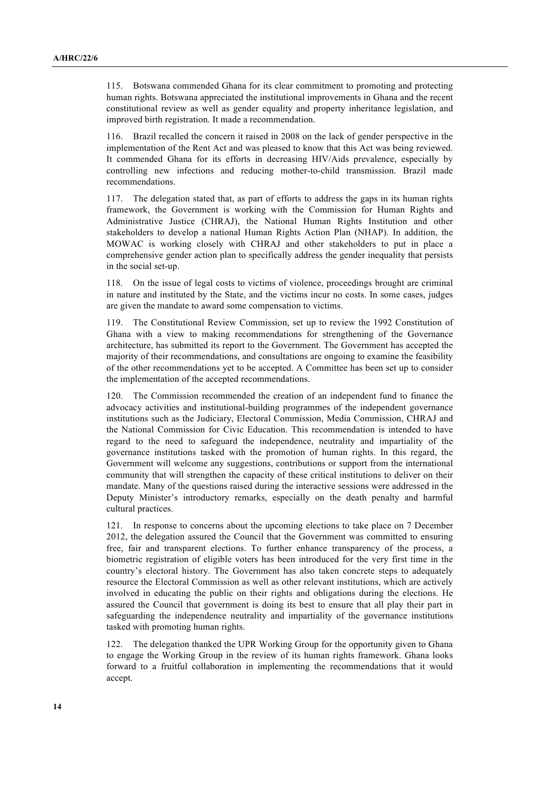115. Botswana commended Ghana for its clear commitment to promoting and protecting human rights. Botswana appreciated the institutional improvements in Ghana and the recent constitutional review as well as gender equality and property inheritance legislation, and improved birth registration. It made a recommendation.

116. Brazil recalled the concern it raised in 2008 on the lack of gender perspective in the implementation of the Rent Act and was pleased to know that this Act was being reviewed. It commended Ghana for its efforts in decreasing HIV/Aids prevalence, especially by controlling new infections and reducing mother-to-child transmission. Brazil made recommendations.

117. The delegation stated that, as part of efforts to address the gaps in its human rights framework, the Government is working with the Commission for Human Rights and Administrative Justice (CHRAJ), the National Human Rights Institution and other stakeholders to develop a national Human Rights Action Plan (NHAP). In addition, the MOWAC is working closely with CHRAJ and other stakeholders to put in place a comprehensive gender action plan to specifically address the gender inequality that persists in the social set-up.

118. On the issue of legal costs to victims of violence, proceedings brought are criminal in nature and instituted by the State, and the victims incur no costs. In some cases, judges are given the mandate to award some compensation to victims.

119. The Constitutional Review Commission, set up to review the 1992 Constitution of Ghana with a view to making recommendations for strengthening of the Governance architecture, has submitted its report to the Government. The Government has accepted the majority of their recommendations, and consultations are ongoing to examine the feasibility of the other recommendations yet to be accepted. A Committee has been set up to consider the implementation of the accepted recommendations.

120. The Commission recommended the creation of an independent fund to finance the advocacy activities and institutional-building programmes of the independent governance institutions such as the Judiciary, Electoral Commission, Media Commission, CHRAJ and the National Commission for Civic Education. This recommendation is intended to have regard to the need to safeguard the independence, neutrality and impartiality of the governance institutions tasked with the promotion of human rights. In this regard, the Government will welcome any suggestions, contributions or support from the international community that will strengthen the capacity of these critical institutions to deliver on their mandate. Many of the questions raised during the interactive sessions were addressed in the Deputy Minister's introductory remarks, especially on the death penalty and harmful cultural practices.

121. In response to concerns about the upcoming elections to take place on 7 December 2012, the delegation assured the Council that the Government was committed to ensuring free, fair and transparent elections. To further enhance transparency of the process, a biometric registration of eligible voters has been introduced for the very first time in the country's electoral history. The Government has also taken concrete steps to adequately resource the Electoral Commission as well as other relevant institutions, which are actively involved in educating the public on their rights and obligations during the elections. He assured the Council that government is doing its best to ensure that all play their part in safeguarding the independence neutrality and impartiality of the governance institutions tasked with promoting human rights.

122. The delegation thanked the UPR Working Group for the opportunity given to Ghana to engage the Working Group in the review of its human rights framework. Ghana looks forward to a fruitful collaboration in implementing the recommendations that it would accept.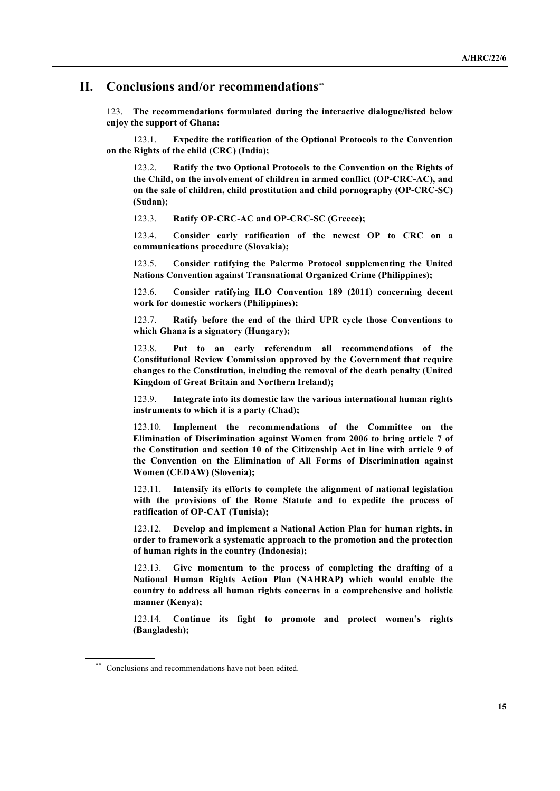#### **II. Conclusions and/or recommendations**\*\*

123. **The recommendations formulated during the interactive dialogue/listed below enjoy the support of Ghana:**

123.1. **Expedite the ratification of the Optional Protocols to the Convention on the Rights of the child (CRC) (India);**

123.2. **Ratify the two Optional Protocols to the Convention on the Rights of the Child, on the involvement of children in armed conflict (OP-CRC-AC), and on the sale of children, child prostitution and child pornography (OP-CRC-SC) (Sudan);**

123.3. **Ratify OP-CRC-AC and OP-CRC-SC (Greece);**

123.4. **Consider early ratification of the newest OP to CRC on a communications procedure (Slovakia);**

123.5. **Consider ratifying the Palermo Protocol supplementing the United Nations Convention against Transnational Organized Crime (Philippines);**

123.6. **Consider ratifying ILO Convention 189 (2011) concerning decent work for domestic workers (Philippines);**

123.7. **Ratify before the end of the third UPR cycle those Conventions to which Ghana is a signatory (Hungary);**

123.8. **Put to an early referendum all recommendations of the Constitutional Review Commission approved by the Government that require changes to the Constitution, including the removal of the death penalty (United Kingdom of Great Britain and Northern Ireland);**

123.9. **Integrate into its domestic law the various international human rights instruments to which it is a party (Chad);**

123.10. **Implement the recommendations of the Committee on the Elimination of Discrimination against Women from 2006 to bring article 7 of the Constitution and section 10 of the Citizenship Act in line with article 9 of the Convention on the Elimination of All Forms of Discrimination against Women (CEDAW) (Slovenia);**

123.11. **Intensify its efforts to complete the alignment of national legislation with the provisions of the Rome Statute and to expedite the process of ratification of OP-CAT (Tunisia);**

123.12. **Develop and implement a National Action Plan for human rights, in order to framework a systematic approach to the promotion and the protection of human rights in the country (Indonesia);**

123.13. **Give momentum to the process of completing the drafting of a National Human Rights Action Plan (NAHRAP) which would enable the country to address all human rights concerns in a comprehensive and holistic manner (Kenya);**

123.14. **Continue its fight to promote and protect women's rights (Bangladesh);**

Conclusions and recommendations have not been edited.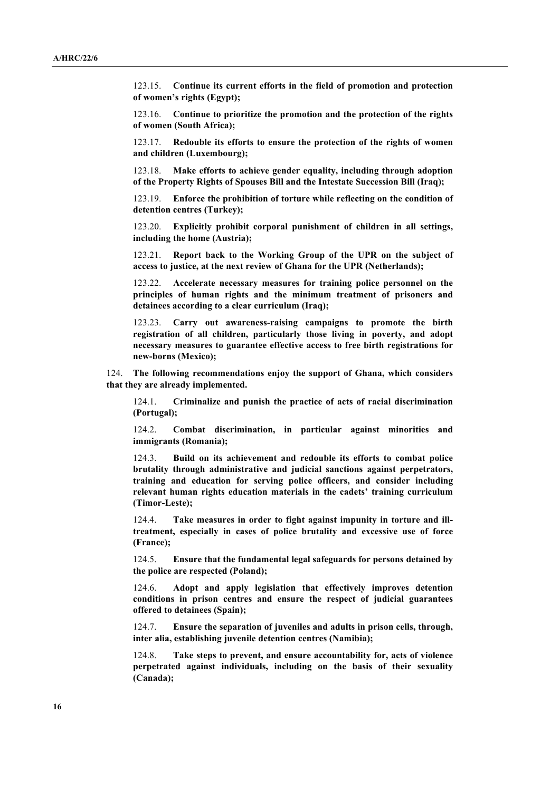123.15. **Continue its current efforts in the field of promotion and protection of women's rights (Egypt);**

123.16. **Continue to prioritize the promotion and the protection of the rights of women (South Africa);**

123.17. **Redouble its efforts to ensure the protection of the rights of women and children (Luxembourg);**

123.18. **Make efforts to achieve gender equality, including through adoption of the Property Rights of Spouses Bill and the Intestate Succession Bill (Iraq);**

123.19. **Enforce the prohibition of torture while reflecting on the condition of detention centres (Turkey);**

123.20. **Explicitly prohibit corporal punishment of children in all settings, including the home (Austria);**

123.21. **Report back to the Working Group of the UPR on the subject of access to justice, at the next review of Ghana for the UPR (Netherlands);**

123.22. **Accelerate necessary measures for training police personnel on the principles of human rights and the minimum treatment of prisoners and detainees according to a clear curriculum (Iraq);**

123.23. **Carry out awareness-raising campaigns to promote the birth registration of all children, particularly those living in poverty, and adopt necessary measures to guarantee effective access to free birth registrations for new-borns (Mexico);**

124. **The following recommendations enjoy the support of Ghana, which considers that they are already implemented.**

124.1. **Criminalize and punish the practice of acts of racial discrimination (Portugal);**

124.2. **Combat discrimination, in particular against minorities and immigrants (Romania);**

124.3. **Build on its achievement and redouble its efforts to combat police brutality through administrative and judicial sanctions against perpetrators, training and education for serving police officers, and consider including relevant human rights education materials in the cadets' training curriculum (Timor-Leste);**

124.4. **Take measures in order to fight against impunity in torture and illtreatment, especially in cases of police brutality and excessive use of force (France);**

124.5. **Ensure that the fundamental legal safeguards for persons detained by the police are respected (Poland);**

124.6. **Adopt and apply legislation that effectively improves detention conditions in prison centres and ensure the respect of judicial guarantees offered to detainees (Spain);**

124.7. **Ensure the separation of juveniles and adults in prison cells, through, inter alia, establishing juvenile detention centres (Namibia);**

124.8. **Take steps to prevent, and ensure accountability for, acts of violence perpetrated against individuals, including on the basis of their sexuality (Canada);**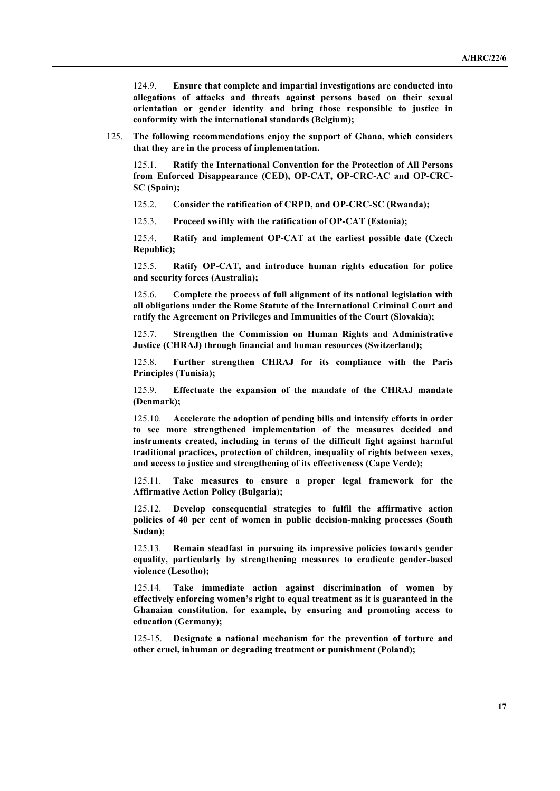124.9. **Ensure that complete and impartial investigations are conducted into allegations of attacks and threats against persons based on their sexual orientation or gender identity and bring those responsible to justice in conformity with the international standards (Belgium);**

125. **The following recommendations enjoy the support of Ghana, which considers that they are in the process of implementation.**

125.1. **Ratify the International Convention for the Protection of All Persons from Enforced Disappearance (CED), OP-CAT, OP-CRC-AC and OP-CRC-SC (Spain);**

125.2. **Consider the ratification of CRPD, and OP-CRC-SC (Rwanda);**

125.3. **Proceed swiftly with the ratification of OP-CAT (Estonia);**

125.4. **Ratify and implement OP-CAT at the earliest possible date (Czech Republic);**

125.5. **Ratify OP-CAT, and introduce human rights education for police and security forces (Australia);**

125.6. **Complete the process of full alignment of its national legislation with all obligations under the Rome Statute of the International Criminal Court and ratify the Agreement on Privileges and Immunities of the Court (Slovakia);**

125.7. **Strengthen the Commission on Human Rights and Administrative Justice (CHRAJ) through financial and human resources (Switzerland);**

125.8. **Further strengthen CHRAJ for its compliance with the Paris Principles (Tunisia);**

125.9. **Effectuate the expansion of the mandate of the CHRAJ mandate (Denmark);**

125.10. **Accelerate the adoption of pending bills and intensify efforts in order to see more strengthened implementation of the measures decided and instruments created, including in terms of the difficult fight against harmful traditional practices, protection of children, inequality of rights between sexes, and access to justice and strengthening of its effectiveness (Cape Verde);**

125.11. **Take measures to ensure a proper legal framework for the Affirmative Action Policy (Bulgaria);**

125.12. **Develop consequential strategies to fulfil the affirmative action policies of 40 per cent of women in public decision-making processes (South Sudan);**

125.13. **Remain steadfast in pursuing its impressive policies towards gender equality, particularly by strengthening measures to eradicate gender-based violence (Lesotho);**

125.14. **Take immediate action against discrimination of women by effectively enforcing women's right to equal treatment as it is guaranteed in the Ghanaian constitution, for example, by ensuring and promoting access to education (Germany);**

125-15. **Designate a national mechanism for the prevention of torture and other cruel, inhuman or degrading treatment or punishment (Poland);**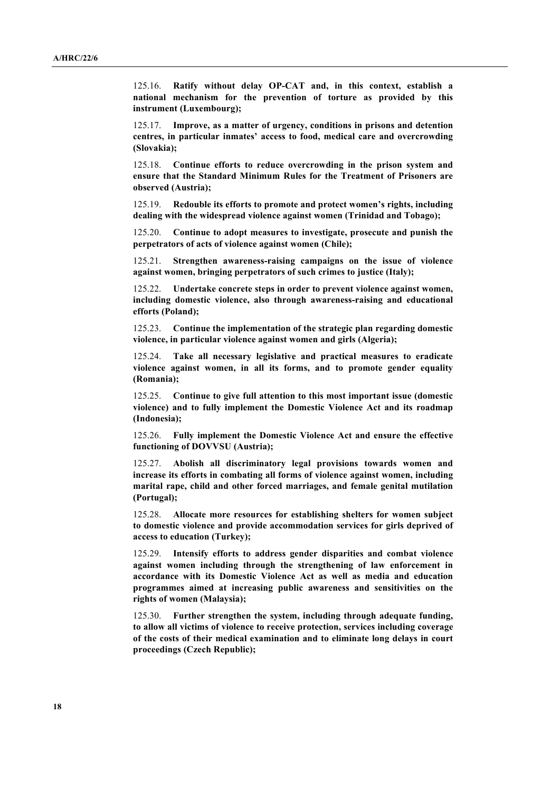125.16. **Ratify without delay OP-CAT and, in this context, establish a national mechanism for the prevention of torture as provided by this instrument (Luxembourg);**

125.17. **Improve, as a matter of urgency, conditions in prisons and detention centres, in particular inmates' access to food, medical care and overcrowding (Slovakia);**

125.18. **Continue efforts to reduce overcrowding in the prison system and ensure that the Standard Minimum Rules for the Treatment of Prisoners are observed (Austria);**

125.19. **Redouble its efforts to promote and protect women's rights, including dealing with the widespread violence against women (Trinidad and Tobago);**

125.20. **Continue to adopt measures to investigate, prosecute and punish the perpetrators of acts of violence against women (Chile);**

125.21. **Strengthen awareness-raising campaigns on the issue of violence against women, bringing perpetrators of such crimes to justice (Italy);**

125.22. **Undertake concrete steps in order to prevent violence against women, including domestic violence, also through awareness-raising and educational efforts (Poland);**

125.23. **Continue the implementation of the strategic plan regarding domestic violence, in particular violence against women and girls (Algeria);**

125.24. **Take all necessary legislative and practical measures to eradicate violence against women, in all its forms, and to promote gender equality (Romania);**

125.25. **Continue to give full attention to this most important issue (domestic violence) and to fully implement the Domestic Violence Act and its roadmap (Indonesia);**

125.26. **Fully implement the Domestic Violence Act and ensure the effective functioning of DOVVSU (Austria);**

125.27. **Abolish all discriminatory legal provisions towards women and increase its efforts in combating all forms of violence against women, including marital rape, child and other forced marriages, and female genital mutilation (Portugal);**

125.28. **Allocate more resources for establishing shelters for women subject to domestic violence and provide accommodation services for girls deprived of access to education (Turkey);**

125.29. **Intensify efforts to address gender disparities and combat violence against women including through the strengthening of law enforcement in accordance with its Domestic Violence Act as well as media and education programmes aimed at increasing public awareness and sensitivities on the rights of women (Malaysia);**

125.30. **Further strengthen the system, including through adequate funding, to allow all victims of violence to receive protection, services including coverage of the costs of their medical examination and to eliminate long delays in court proceedings (Czech Republic);**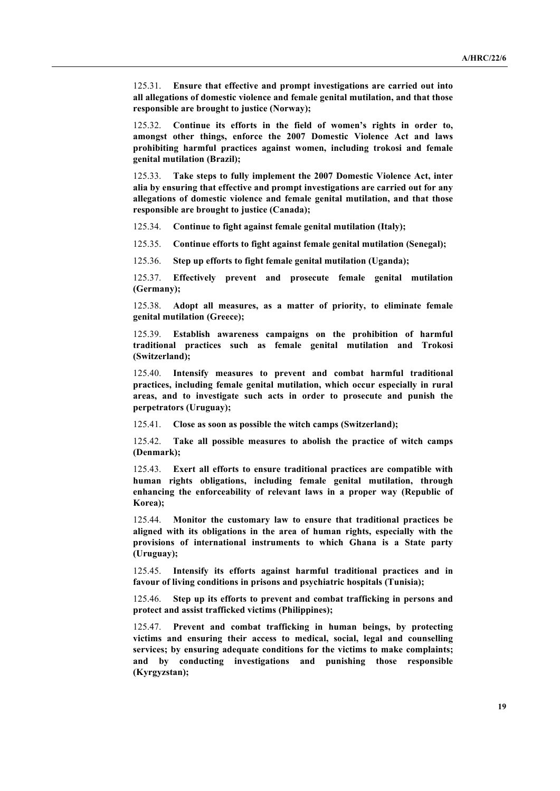125.31. **Ensure that effective and prompt investigations are carried out into all allegations of domestic violence and female genital mutilation, and that those responsible are brought to justice (Norway);**

125.32. **Continue its efforts in the field of women's rights in order to, amongst other things, enforce the 2007 Domestic Violence Act and laws prohibiting harmful practices against women, including trokosi and female genital mutilation (Brazil);**

125.33. **Take steps to fully implement the 2007 Domestic Violence Act, inter alia by ensuring that effective and prompt investigations are carried out for any allegations of domestic violence and female genital mutilation, and that those responsible are brought to justice (Canada);**

125.34. **Continue to fight against female genital mutilation (Italy);**

125.35. **Continue efforts to fight against female genital mutilation (Senegal);**

125.36. **Step up efforts to fight female genital mutilation (Uganda);**

125.37. **Effectively prevent and prosecute female genital mutilation (Germany);**

125.38. **Adopt all measures, as a matter of priority, to eliminate female genital mutilation (Greece);**

125.39. **Establish awareness campaigns on the prohibition of harmful traditional practices such as female genital mutilation and Trokosi (Switzerland);**

125.40. **Intensify measures to prevent and combat harmful traditional practices, including female genital mutilation, which occur especially in rural areas, and to investigate such acts in order to prosecute and punish the perpetrators (Uruguay);**

125.41. **Close as soon as possible the witch camps (Switzerland);**

125.42. **Take all possible measures to abolish the practice of witch camps (Denmark);**

125.43. **Exert all efforts to ensure traditional practices are compatible with human rights obligations, including female genital mutilation, through enhancing the enforceability of relevant laws in a proper way (Republic of Korea);**

125.44. **Monitor the customary law to ensure that traditional practices be aligned with its obligations in the area of human rights, especially with the provisions of international instruments to which Ghana is a State party (Uruguay);**

125.45. **Intensify its efforts against harmful traditional practices and in favour of living conditions in prisons and psychiatric hospitals (Tunisia);**

125.46. **Step up its efforts to prevent and combat trafficking in persons and protect and assist trafficked victims (Philippines);**

125.47. **Prevent and combat trafficking in human beings, by protecting victims and ensuring their access to medical, social, legal and counselling services; by ensuring adequate conditions for the victims to make complaints; and by conducting investigations and punishing those responsible (Kyrgyzstan);**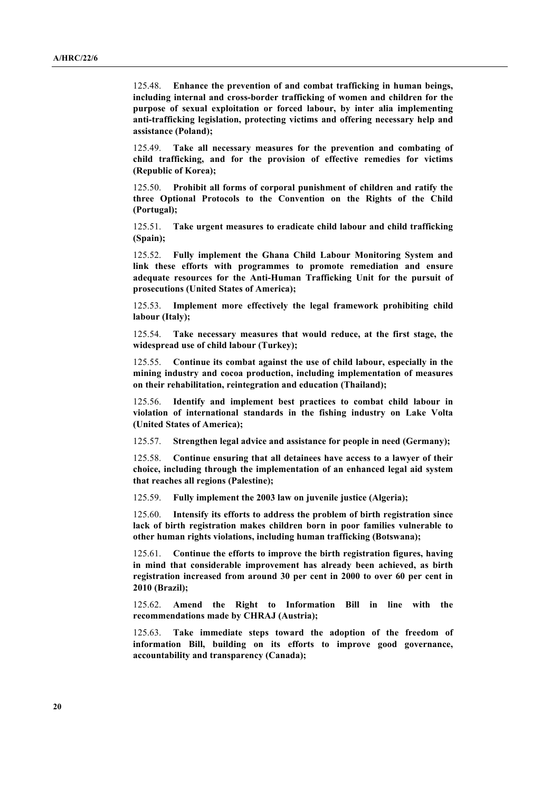125.48. **Enhance the prevention of and combat trafficking in human beings, including internal and cross-border trafficking of women and children for the purpose of sexual exploitation or forced labour, by inter alia implementing anti-trafficking legislation, protecting victims and offering necessary help and assistance (Poland);**

125.49. **Take all necessary measures for the prevention and combating of child trafficking, and for the provision of effective remedies for victims (Republic of Korea);**

125.50. **Prohibit all forms of corporal punishment of children and ratify the three Optional Protocols to the Convention on the Rights of the Child (Portugal);**

125.51. **Take urgent measures to eradicate child labour and child trafficking (Spain);**

125.52. **Fully implement the Ghana Child Labour Monitoring System and link these efforts with programmes to promote remediation and ensure adequate resources for the Anti-Human Trafficking Unit for the pursuit of prosecutions (United States of America);**

125.53. **Implement more effectively the legal framework prohibiting child labour (Italy);**

125.54. **Take necessary measures that would reduce, at the first stage, the widespread use of child labour (Turkey);**

125.55. **Continue its combat against the use of child labour, especially in the mining industry and cocoa production, including implementation of measures on their rehabilitation, reintegration and education (Thailand);**

125.56. **Identify and implement best practices to combat child labour in violation of international standards in the fishing industry on Lake Volta (United States of America);**

125.57. **Strengthen legal advice and assistance for people in need (Germany);**

125.58. **Continue ensuring that all detainees have access to a lawyer of their choice, including through the implementation of an enhanced legal aid system that reaches all regions (Palestine);**

125.59. **Fully implement the 2003 law on juvenile justice (Algeria);**

125.60. **Intensify its efforts to address the problem of birth registration since lack of birth registration makes children born in poor families vulnerable to other human rights violations, including human trafficking (Botswana);**

125.61. **Continue the efforts to improve the birth registration figures, having in mind that considerable improvement has already been achieved, as birth registration increased from around 30 per cent in 2000 to over 60 per cent in 2010 (Brazil);**

125.62. **Amend the Right to Information Bill in line with the recommendations made by CHRAJ (Austria);**

125.63. **Take immediate steps toward the adoption of the freedom of information Bill, building on its efforts to improve good governance, accountability and transparency (Canada);**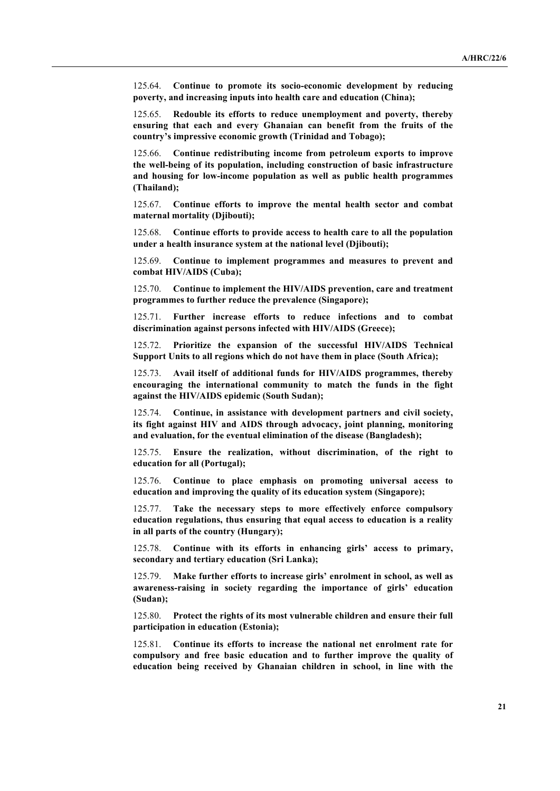125.64. **Continue to promote its socio-economic development by reducing poverty, and increasing inputs into health care and education (China);**

125.65. **Redouble its efforts to reduce unemployment and poverty, thereby ensuring that each and every Ghanaian can benefit from the fruits of the country's impressive economic growth (Trinidad and Tobago);**

125.66. **Continue redistributing income from petroleum exports to improve the well-being of its population, including construction of basic infrastructure and housing for low-income population as well as public health programmes (Thailand);**

125.67. **Continue efforts to improve the mental health sector and combat maternal mortality (Djibouti);**

125.68. **Continue efforts to provide access to health care to all the population under a health insurance system at the national level (Djibouti);**

125.69. **Continue to implement programmes and measures to prevent and combat HIV/AIDS (Cuba);**

125.70. **Continue to implement the HIV/AIDS prevention, care and treatment programmes to further reduce the prevalence (Singapore);**

125.71. **Further increase efforts to reduce infections and to combat discrimination against persons infected with HIV/AIDS (Greece);**

125.72. **Prioritize the expansion of the successful HIV/AIDS Technical Support Units to all regions which do not have them in place (South Africa);**

125.73. **Avail itself of additional funds for HIV/AIDS programmes, thereby encouraging the international community to match the funds in the fight against the HIV/AIDS epidemic (South Sudan);**

125.74. **Continue, in assistance with development partners and civil society, its fight against HIV and AIDS through advocacy, joint planning, monitoring and evaluation, for the eventual elimination of the disease (Bangladesh);**

125.75. **Ensure the realization, without discrimination, of the right to education for all (Portugal);**

125.76. **Continue to place emphasis on promoting universal access to education and improving the quality of its education system (Singapore);**

125.77. **Take the necessary steps to more effectively enforce compulsory education regulations, thus ensuring that equal access to education is a reality in all parts of the country (Hungary);**

125.78. **Continue with its efforts in enhancing girls' access to primary, secondary and tertiary education (Sri Lanka);**

125.79. **Make further efforts to increase girls' enrolment in school, as well as awareness-raising in society regarding the importance of girls' education (Sudan);**

125.80. **Protect the rights of its most vulnerable children and ensure their full participation in education (Estonia);**

125.81. **Continue its efforts to increase the national net enrolment rate for compulsory and free basic education and to further improve the quality of education being received by Ghanaian children in school, in line with the**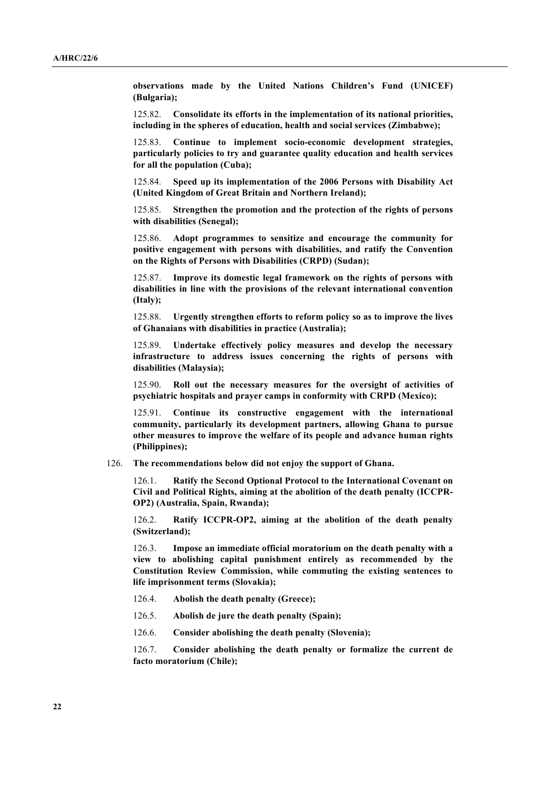**observations made by the United Nations Children's Fund (UNICEF) (Bulgaria);**

125.82. **Consolidate its efforts in the implementation of its national priorities, including in the spheres of education, health and social services (Zimbabwe);**

125.83. **Continue to implement socio-economic development strategies, particularly policies to try and guarantee quality education and health services for all the population (Cuba);**

125.84. **Speed up its implementation of the 2006 Persons with Disability Act (United Kingdom of Great Britain and Northern Ireland);**

125.85. **Strengthen the promotion and the protection of the rights of persons with disabilities (Senegal);**

125.86. **Adopt programmes to sensitize and encourage the community for positive engagement with persons with disabilities, and ratify the Convention on the Rights of Persons with Disabilities (CRPD) (Sudan);**

125.87. **Improve its domestic legal framework on the rights of persons with disabilities in line with the provisions of the relevant international convention (Italy);**

125.88. **Urgently strengthen efforts to reform policy so as to improve the lives of Ghanaians with disabilities in practice (Australia);**

125.89. **Undertake effectively policy measures and develop the necessary infrastructure to address issues concerning the rights of persons with disabilities (Malaysia);**

125.90. **Roll out the necessary measures for the oversight of activities of psychiatric hospitals and prayer camps in conformity with CRPD (Mexico);**

125.91. **Continue its constructive engagement with the international community, particularly its development partners, allowing Ghana to pursue other measures to improve the welfare of its people and advance human rights (Philippines);**

126. **The recommendations below did not enjoy the support of Ghana.**

126.1. **Ratify the Second Optional Protocol to the International Covenant on Civil and Political Rights, aiming at the abolition of the death penalty (ICCPR-OP2) (Australia, Spain, Rwanda);**

126.2. **Ratify ICCPR-OP2, aiming at the abolition of the death penalty (Switzerland);**

126.3. **Impose an immediate official moratorium on the death penalty with a view to abolishing capital punishment entirely as recommended by the Constitution Review Commission, while commuting the existing sentences to life imprisonment terms (Slovakia);**

- 126.4. **Abolish the death penalty (Greece);**
- 126.5. **Abolish de jure the death penalty (Spain);**
- 126.6. **Consider abolishing the death penalty (Slovenia);**

126.7. **Consider abolishing the death penalty or formalize the current de facto moratorium (Chile);**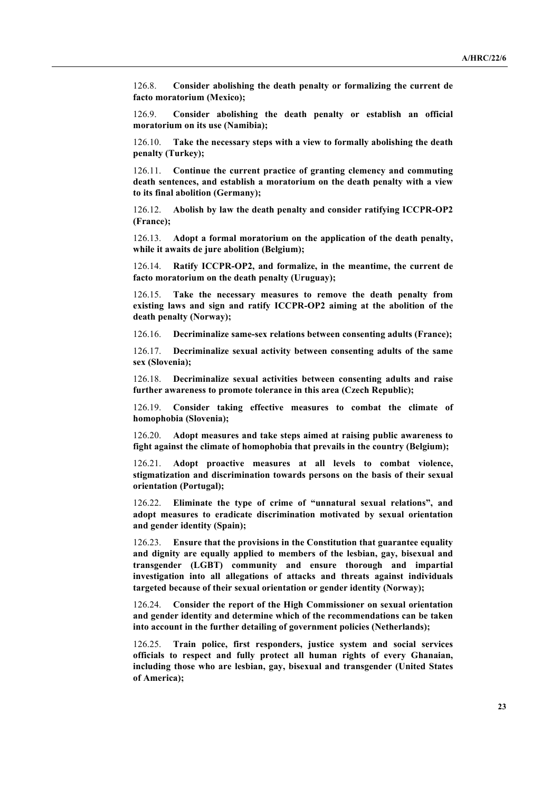126.8. **Consider abolishing the death penalty or formalizing the current de facto moratorium (Mexico);**

126.9. **Consider abolishing the death penalty or establish an official moratorium on its use (Namibia);**

126.10. **Take the necessary steps with a view to formally abolishing the death penalty (Turkey);**

126.11. **Continue the current practice of granting clemency and commuting death sentences, and establish a moratorium on the death penalty with a view to its final abolition (Germany);**

126.12. **Abolish by law the death penalty and consider ratifying ICCPR-OP2 (France);**

126.13. **Adopt a formal moratorium on the application of the death penalty, while it awaits de jure abolition (Belgium);**

126.14. **Ratify ICCPR-OP2, and formalize, in the meantime, the current de facto moratorium on the death penalty (Uruguay);**

126.15. **Take the necessary measures to remove the death penalty from existing laws and sign and ratify ICCPR-OP2 aiming at the abolition of the death penalty (Norway);**

126.16. **Decriminalize same-sex relations between consenting adults (France);**

126.17. **Decriminalize sexual activity between consenting adults of the same sex (Slovenia);**

126.18. **Decriminalize sexual activities between consenting adults and raise further awareness to promote tolerance in this area (Czech Republic);**

126.19. **Consider taking effective measures to combat the climate of homophobia (Slovenia);**

126.20. **Adopt measures and take steps aimed at raising public awareness to fight against the climate of homophobia that prevails in the country (Belgium);**

126.21. **Adopt proactive measures at all levels to combat violence, stigmatization and discrimination towards persons on the basis of their sexual orientation (Portugal);**

126.22. **Eliminate the type of crime of "unnatural sexual relations", and adopt measures to eradicate discrimination motivated by sexual orientation and gender identity (Spain);**

126.23. **Ensure that the provisions in the Constitution that guarantee equality and dignity are equally applied to members of the lesbian, gay, bisexual and transgender (LGBT) community and ensure thorough and impartial investigation into all allegations of attacks and threats against individuals targeted because of their sexual orientation or gender identity (Norway);**

126.24. **Consider the report of the High Commissioner on sexual orientation and gender identity and determine which of the recommendations can be taken into account in the further detailing of government policies (Netherlands);**

126.25. **Train police, first responders, justice system and social services officials to respect and fully protect all human rights of every Ghanaian, including those who are lesbian, gay, bisexual and transgender (United States of America);**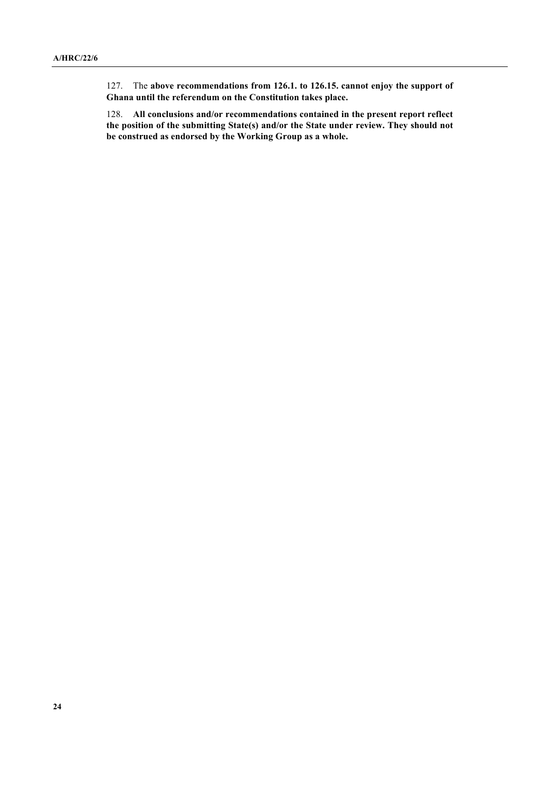127. The **above recommendations from 126.1. to 126.15. cannot enjoy the support of Ghana until the referendum on the Constitution takes place.**

128. **All conclusions and/or recommendations contained in the present report reflect the position of the submitting State(s) and/or the State under review. They should not be construed as endorsed by the Working Group as a whole.**